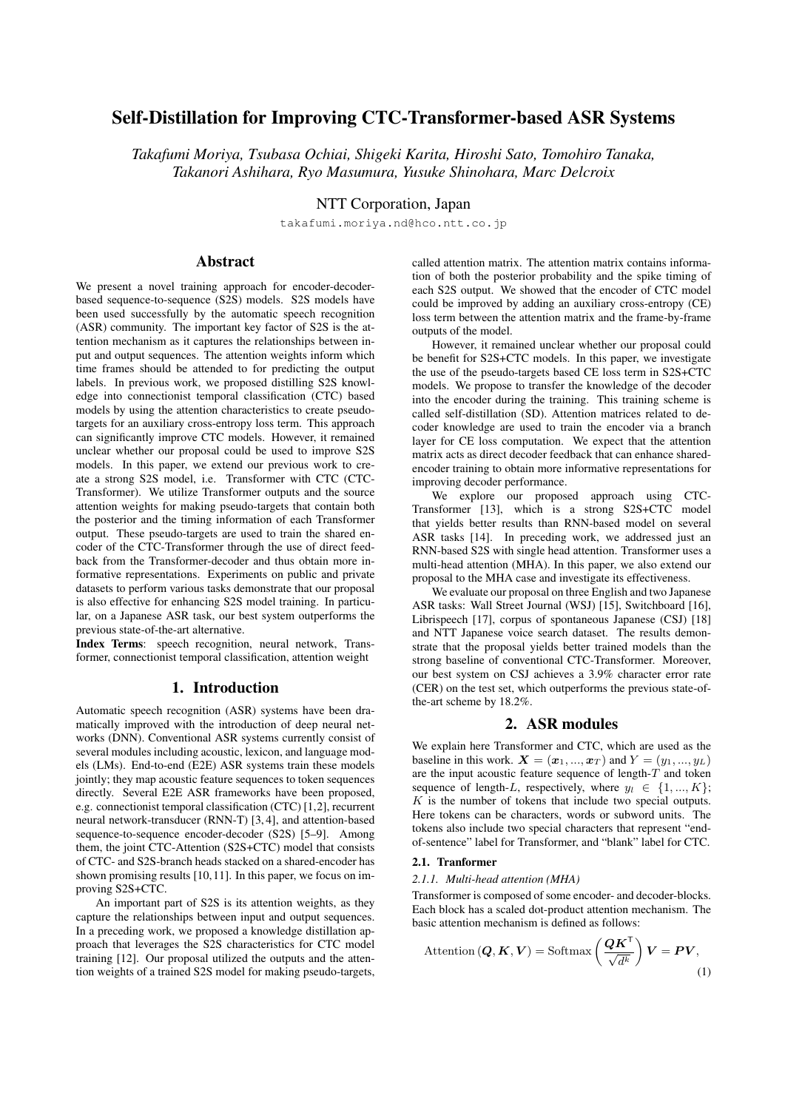# Self-Distillation for Improving CTC-Transformer-based ASR Systems

*Takafumi Moriya, Tsubasa Ochiai, Shigeki Karita, Hiroshi Sato, Tomohiro Tanaka, Takanori Ashihara, Ryo Masumura, Yusuke Shinohara, Marc Delcroix*

NTT Corporation, Japan

takafumi.moriya.nd@hco.ntt.co.jp

# Abstract

We present a novel training approach for encoder-decoderbased sequence-to-sequence (S2S) models. S2S models have been used successfully by the automatic speech recognition (ASR) community. The important key factor of S2S is the attention mechanism as it captures the relationships between input and output sequences. The attention weights inform which time frames should be attended to for predicting the output labels. In previous work, we proposed distilling S2S knowledge into connectionist temporal classification (CTC) based models by using the attention characteristics to create pseudotargets for an auxiliary cross-entropy loss term. This approach can significantly improve CTC models. However, it remained unclear whether our proposal could be used to improve S2S models. In this paper, we extend our previous work to create a strong S2S model, i.e. Transformer with CTC (CTC-Transformer). We utilize Transformer outputs and the source attention weights for making pseudo-targets that contain both the posterior and the timing information of each Transformer output. These pseudo-targets are used to train the shared encoder of the CTC-Transformer through the use of direct feedback from the Transformer-decoder and thus obtain more informative representations. Experiments on public and private datasets to perform various tasks demonstrate that our proposal is also effective for enhancing S2S model training. In particular, on a Japanese ASR task, our best system outperforms the previous state-of-the-art alternative.

Index Terms: speech recognition, neural network, Transformer, connectionist temporal classification, attention weight

# 1. Introduction

Automatic speech recognition (ASR) systems have been dramatically improved with the introduction of deep neural networks (DNN). Conventional ASR systems currently consist of several modules including acoustic, lexicon, and language models (LMs). End-to-end (E2E) ASR systems train these models jointly; they map acoustic feature sequences to token sequences directly. Several E2E ASR frameworks have been proposed, e.g. connectionist temporal classification (CTC) [1,2], recurrent neural network-transducer (RNN-T) [3, 4], and attention-based sequence-to-sequence encoder-decoder (S2S) [5–9]. Among them, the joint CTC-Attention (S2S+CTC) model that consists of CTC- and S2S-branch heads stacked on a shared-encoder has shown promising results [10,11]. In this paper, we focus on improving S2S+CTC.

An important part of S2S is its attention weights, as they capture the relationships between input and output sequences. In a preceding work, we proposed a knowledge distillation approach that leverages the S2S characteristics for CTC model training [12]. Our proposal utilized the outputs and the attention weights of a trained S2S model for making pseudo-targets, called attention matrix. The attention matrix contains information of both the posterior probability and the spike timing of each S2S output. We showed that the encoder of CTC model could be improved by adding an auxiliary cross-entropy (CE) loss term between the attention matrix and the frame-by-frame outputs of the model.

However, it remained unclear whether our proposal could be benefit for S2S+CTC models. In this paper, we investigate the use of the pseudo-targets based CE loss term in S2S+CTC models. We propose to transfer the knowledge of the decoder into the encoder during the training. This training scheme is called self-distillation (SD). Attention matrices related to decoder knowledge are used to train the encoder via a branch layer for CE loss computation. We expect that the attention matrix acts as direct decoder feedback that can enhance sharedencoder training to obtain more informative representations for improving decoder performance.

We explore our proposed approach using CTC-Transformer [13], which is a strong S2S+CTC model that yields better results than RNN-based model on several ASR tasks [14]. In preceding work, we addressed just an RNN-based S2S with single head attention. Transformer uses a multi-head attention (MHA). In this paper, we also extend our proposal to the MHA case and investigate its effectiveness.

We evaluate our proposal on three English and two Japanese ASR tasks: Wall Street Journal (WSJ) [15], Switchboard [16], Librispeech [17], corpus of spontaneous Japanese (CSJ) [18] and NTT Japanese voice search dataset. The results demonstrate that the proposal yields better trained models than the strong baseline of conventional CTC-Transformer. Moreover, our best system on CSJ achieves a 3.9% character error rate (CER) on the test set, which outperforms the previous state-ofthe-art scheme by 18.2%.

## 2. ASR modules

We explain here Transformer and CTC, which are used as the baseline in this work.  $\mathbf{X} = (\mathbf{x}_1, ..., \mathbf{x}_T)$  and  $Y = (y_1, ..., y_L)$ are the input acoustic feature sequence of length-*T* and token sequence of length-*L*, respectively, where  $y_l \in \{1, ..., K\}$ ; *K* is the number of tokens that include two special outputs. Here tokens can be characters, words or subword units. The tokens also include two special characters that represent "endof-sentence" label for Transformer, and "blank" label for CTC.

### 2.1. Tranformer

#### *2.1.1. Multi-head attention (MHA)*

Transformer is composed of some encoder- and decoder-blocks. Each block has a scaled dot-product attention mechanism. The basic attention mechanism is defined as follows:

Attention 
$$
(Q, K, V) = \text{Softmax}\left(\frac{QK^{\mathsf{T}}}{\sqrt{d^k}}\right)V = PV,
$$
 (1)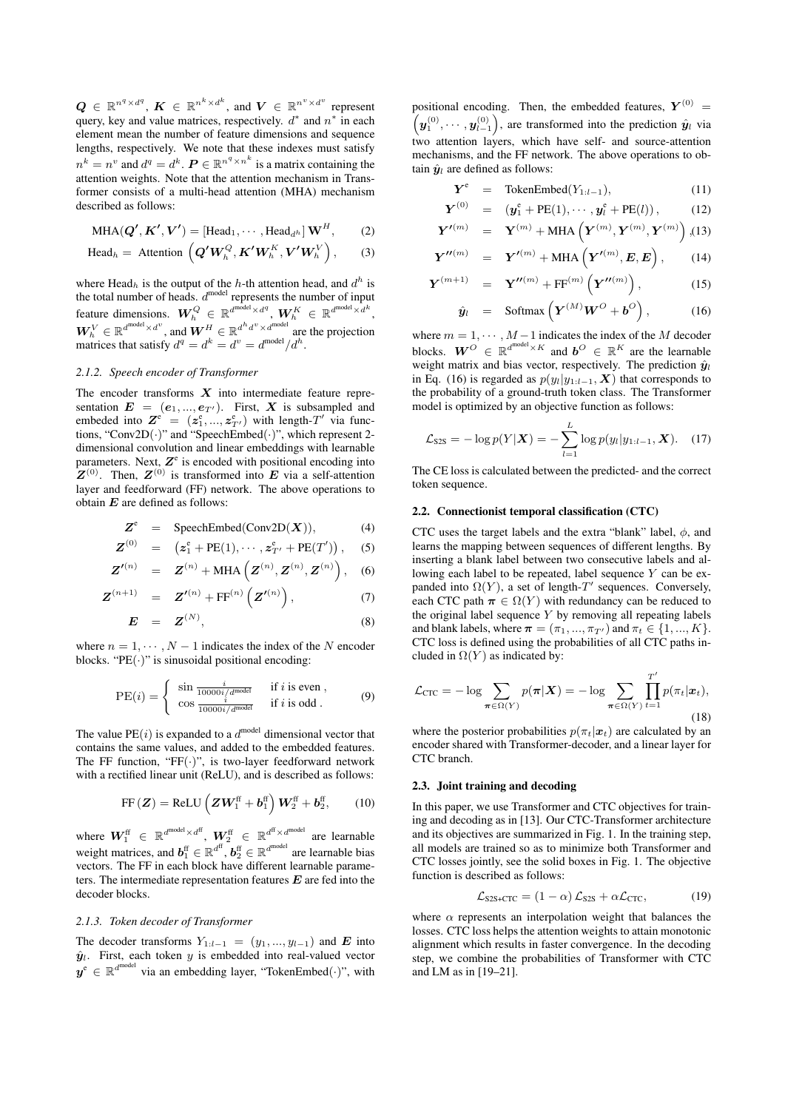$Q \in \mathbb{R}^{n^q \times d^q}, K \in \mathbb{R}^{n^k \times d^k}, \text{ and } V \in \mathbb{R}^{n^v \times d^v} \text{ represent}$ query, key and value matrices, respectively. *d ∗* and *n ∗* in each element mean the number of feature dimensions and sequence lengths, respectively. We note that these indexes must satisfy  $n^k = n^v$  and  $d^q = d^k$ .  $P \in \mathbb{R}^{n^q \times n^k}$  is a matrix containing the attention weights. Note that the attention mechanism in Transformer consists of a multi-head attention (MHA) mechanism described as follows:

$$
\text{MHA}(\mathbf{Q}', \mathbf{K}', \mathbf{V}') = [\text{Head}_1, \cdots, \text{Head}_{d^h}] \mathbf{W}^H, \qquad (2)
$$

$$
\text{Head}_h = \text{Attention}\left(\boldsymbol{Q}'\boldsymbol{W}_h^Q, \boldsymbol{K}'\boldsymbol{W}_h^K, \boldsymbol{V}'\boldsymbol{W}_h^V\right), \quad (3)
$$

where Head<sub>*h*</sub> is the output of the *h*-th attention head, and  $d^h$  is the total number of heads.  $d^{\text{model}}$  represents the number of input feature dimensions.  $\boldsymbol{W}_h^Q \in \mathbb{R}^{d^{\text{model}} \times d^q}, \, \boldsymbol{W}_h^K \in \mathbb{R}^{d^{\text{model}} \times d^k},$  $W_h^V \in \mathbb{R}^{d^{\text{model}} \times d^v}$ , and  $W^H \in \mathbb{R}^{d^h d^v \times d^{\text{model}}}$  are the projection matrices that satisfy  $d^q = d^k = d^v = d^{\text{model}}/d^h$ .

#### *2.1.2. Speech encoder of Transformer*

The encoder transforms *X* into intermediate feature representation  $E = (e_1, ..., e_{T'})$ . First, X is subsampled and embeded into  $\mathbf{Z}^e = (\mathbf{z}_1^e, ..., \mathbf{z}_{T'}^e)$  with length- $T'$  via functions, "Conv2D(*·*)" and "SpeechEmbed(*·*)", which represent 2 dimensional convolution and linear embeddings with learnable parameters. Next,  $Z^e$  is encoded with positional encoding into  $Z^{(0)}$ . Then,  $Z^{(0)}$  is transformed into *E* via a self-attention layer and feedforward (FF) network. The above operations to obtain *E* are defined as follows:

$$
Z^{e} = \text{SpeedhEmbed}(Conv2D(X)), \tag{4}
$$

$$
\mathbf{Z}^{(0)} = (\mathbf{z}_1^e + PE(1), \cdots, \mathbf{z}_{T'}^e + PE(T')) , \quad (5)
$$

$$
Z'^{(n)} = Z^{(n)} + \text{MHA}\left(Z^{(n)}, Z^{(n)}, Z^{(n)}\right), \quad (6)
$$

$$
\mathbf{Z}^{(n+1)} = \mathbf{Z}'^{(n)} + \mathrm{FF}^{(n)}\left(\mathbf{Z}'^{(n)}\right), \tag{7}
$$

$$
E = Z^{(N)}, \tag{8}
$$

where  $n = 1, \dots, N - 1$  indicates the index of the *N* encoder blocks. "PE(*·*)" is sinusoidal positional encoding:

$$
PE(i) = \begin{cases} \sin \frac{i}{10000i/d^{model}} & \text{if } i \text{ is even },\\ \cos \frac{i}{10000i/d^{model}} & \text{if } i \text{ is odd}. \end{cases}
$$
(9)

The value  $PE(i)$  is expanded to a  $d^{model}$  dimensional vector that contains the same values, and added to the embedded features. The FF function, "FF(*·*)", is two-layer feedforward network with a rectified linear unit (ReLU), and is described as follows:

$$
FF(Z) = ReLU\left(ZW_1^{\text{ff}} + b_1^{\text{ff}}\right)W_2^{\text{ff}} + b_2^{\text{ff}}, \quad (10)
$$

where  $\boldsymbol{W}_1^{\text{ff}} \in \mathbb{R}^{d^{\text{model}} \times d^{\text{ff}}}, \ \boldsymbol{W}_2^{\text{ff}} \in \mathbb{R}^{d^{\text{ff}} \times d^{\text{model}}}$  are learnable weight matrices, and  $\boldsymbol{b}_1^{\text{ff}} \in \mathbb{R}^{d^{\text{ff}}}$ ,  $\boldsymbol{b}_2^{\text{ff}} \in \mathbb{R}^{d^{\text{model}}}$  are learnable bias vectors. The FF in each block have different learnable parameters. The intermediate representation features *E* are fed into the decoder blocks.

#### *2.1.3. Token decoder of Transformer*

The decoder transforms  $Y_{1:l-1} = (y_1, ..., y_{l-1})$  and *E* into  $\hat{y}_l$ . First, each token *y* is embedded into real-valued vector  $y^e$  ∈  $\mathbb{R}^{d^{\text{model}}}$  via an embedding layer, "TokenEmbed(·)", with

positional encoding. Then, the embedded features,  $Y^{(0)} = (a^{(0)}, \ldots, a^{(0)})$  are transformed into the prediction  $\hat{w}$ , via  $\bm{y}_1^{(0)},\cdots,\bm{y}_{l-1}^{(0)}$ ), are transformed into the prediction  $\hat{y}_l$  via two attention layers, which have self- and source-attention mechanisms, and the FF network. The above operations to obtain  $\hat{y}_l$  are defined as follows:

$$
\boldsymbol{Y}^{\text{e}} = \text{TokenEmbed}(Y_{1:l-1}), \qquad (11)
$$

$$
\boldsymbol{Y}^{(0)} = (\boldsymbol{y}_1^e + PE(1), \cdots, \boldsymbol{y}_l^e + PE(l)), \qquad (12)
$$

$$
\boldsymbol{Y'}^{(m)} = \boldsymbol{Y}^{(m)} + \text{MHA}\left(\boldsymbol{Y}^{(m)}, \boldsymbol{Y}^{(m)}, \boldsymbol{Y}^{(m)}\right), (13)
$$

$$
Y''^{(m)} = Y'^{(m)} + \text{MHA}\left(Y'^{(m)}, E, E\right), \qquad (14)
$$

$$
\boldsymbol{Y}^{(m+1)} = \boldsymbol{Y}^{\prime\prime(m)} + \mathrm{FF}^{(m)}\left(\boldsymbol{Y}^{\prime\prime(m)}\right), \tag{15}
$$

$$
\hat{\mathbf{y}}_l = \text{Softmax}\left(\boldsymbol{Y}^{(M)}\boldsymbol{W}^O + \boldsymbol{b}^O\right), \quad (16)
$$

where  $m = 1, \dots, M-1$  indicates the index of the *M* decoder blocks.  $W^O \in \mathbb{R}^{d^{model} \times K}$  and  $b^O \in \mathbb{R}^K$  are the learnable weight matrix and bias vector, respectively. The prediction  $\hat{y}_l$ in Eq. (16) is regarded as  $p(y_l|y_{1:l-1}, \mathbf{X})$  that corresponds to the probability of a ground-truth token class. The Transformer model is optimized by an objective function as follows:

$$
\mathcal{L}_{S2S} = -\log p(Y|\boldsymbol{X}) = -\sum_{l=1}^{L} \log p(y_l|y_{1:l-1}, \boldsymbol{X}). \quad (17)
$$

The CE loss is calculated between the predicted- and the correct token sequence.

#### 2.2. Connectionist temporal classification (CTC)

CTC uses the target labels and the extra "blank" label, *ϕ*, and learns the mapping between sequences of different lengths. By inserting a blank label between two consecutive labels and allowing each label to be repeated, label sequence *Y* can be expanded into  $\Omega(Y)$ , a set of length- $T'$  sequences. Conversely, each CTC path  $\pi \in \Omega(Y)$  with redundancy can be reduced to the original label sequence *Y* by removing all repeating labels and blank labels, where  $\pi = (\pi_1, ..., \pi_{T'})$  and  $\pi_t \in \{1, ..., K\}$ . CTC loss is defined using the probabilities of all CTC paths included in  $\Omega(Y)$  as indicated by:

$$
\mathcal{L}_{\text{CTC}} = -\log \sum_{\boldsymbol{\pi} \in \Omega(Y)} p(\boldsymbol{\pi} | \boldsymbol{X}) = -\log \sum_{\boldsymbol{\pi} \in \Omega(Y)} \prod_{t=1}^{T'} p(\pi_t | \boldsymbol{x}_t),
$$
\n(18)

where the posterior probabilities  $p(\pi_t|\mathbf{x}_t)$  are calculated by an encoder shared with Transformer-decoder, and a linear layer for CTC branch.

#### 2.3. Joint training and decoding

In this paper, we use Transformer and CTC objectives for training and decoding as in [13]. Our CTC-Transformer architecture and its objectives are summarized in Fig. 1. In the training step, all models are trained so as to minimize both Transformer and CTC losses jointly, see the solid boxes in Fig. 1. The objective function is described as follows:

$$
\mathcal{L}_{S2S+CTC} = (1 - \alpha) \mathcal{L}_{S2S} + \alpha \mathcal{L}_{CTC}, \tag{19}
$$

where  $\alpha$  represents an interpolation weight that balances the losses. CTC loss helps the attention weights to attain monotonic alignment which results in faster convergence. In the decoding step, we combine the probabilities of Transformer with CTC and LM as in [19–21].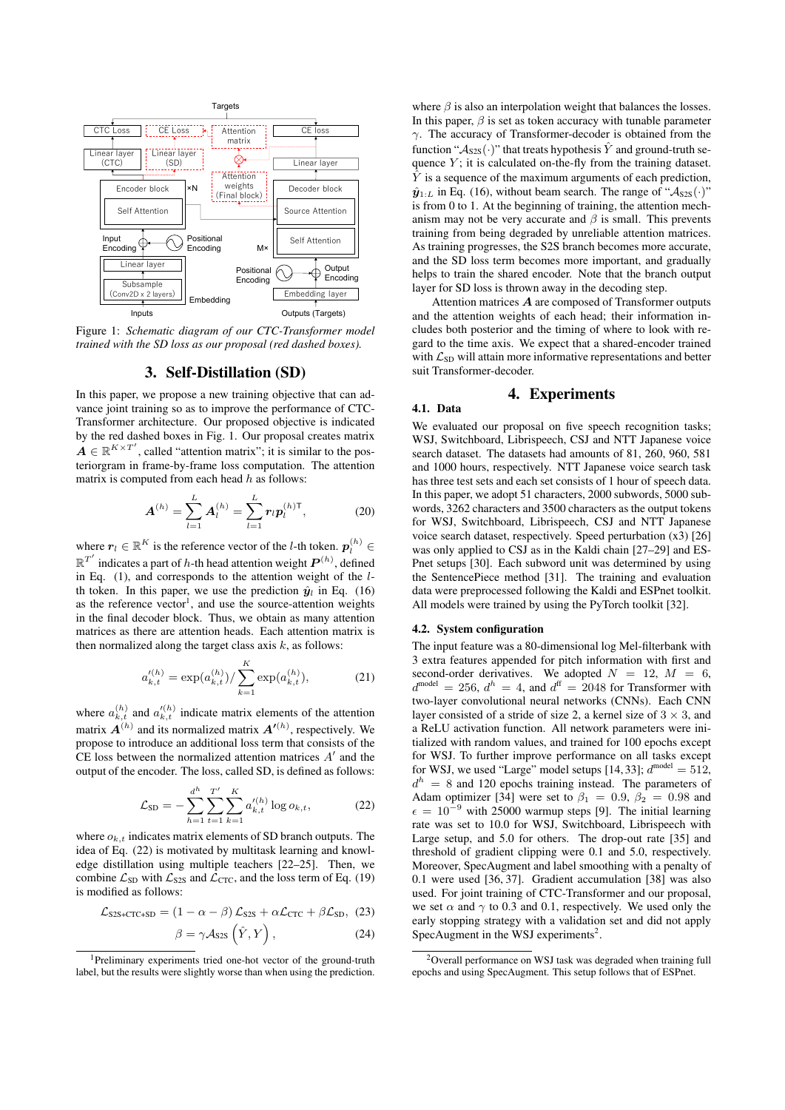

Figure 1: *Schematic diagram of our CTC-Transformer model trained with the SD loss as our proposal (red dashed boxes).*

#### 3. Self-Distillation (SD)

In this paper, we propose a new training objective that can advance joint training so as to improve the performance of CTC-Transformer architecture. Our proposed objective is indicated by the red dashed boxes in Fig. 1. Our proposal creates matrix  $A \in \mathbb{R}^{K \times T'}$ , called "attention matrix"; it is similar to the posteriorgram in frame-by-frame loss computation. The attention matrix is computed from each head *h* as follows:

$$
A^{(h)} = \sum_{l=1}^{L} A_l^{(h)} = \sum_{l=1}^{L} r_l p_l^{(h)T},
$$
 (20)

where  $\boldsymbol{r}_l \in \mathbb{R}^K$  is the reference vector of the *l*-th token.  $\boldsymbol{p}_l^{(h)}$   $\in$  $\mathbb{R}^{T'}$  indicates a part of *h*-th head attention weight  $\boldsymbol{P}^{(h)}$  , defined in Eq. (1), and corresponds to the attention weight of the *l*th token. In this paper, we use the prediction  $\hat{y}_l$  in Eq. (16) as the reference vector<sup>1</sup>, and use the source-attention weights in the final decoder block. Thus, we obtain as many attention matrices as there are attention heads. Each attention matrix is then normalized along the target class axis *k*, as follows:

$$
a_{k,t}^{\prime(h)} = \exp(a_{k,t}^{(h)}) / \sum_{k=1}^{K} \exp(a_{k,t}^{(h)}), \tag{21}
$$

where  $a_{k,t}^{(h)}$  and  $a_{k,t}^{\prime(h)}$  indicate matrix elements of the attention matrix *A*(*h*) and its normalized matrix *A′*(*h*) , respectively. We propose to introduce an additional loss term that consists of the CE loss between the normalized attention matrices *A ′* and the output of the encoder. The loss, called SD, is defined as follows:

$$
\mathcal{L}_{\text{SD}} = -\sum_{h=1}^{d^h} \sum_{t=1}^{T'} \sum_{k=1}^K a_{k,t}^{\prime(h)} \log o_{k,t},
$$
 (22)

where  $o_{k,t}$  indicates matrix elements of SD branch outputs. The idea of Eq. (22) is motivated by multitask learning and knowledge distillation using multiple teachers [22–25]. Then, we combine  $\mathcal{L}_{SD}$  with  $\mathcal{L}_{S2S}$  and  $\mathcal{L}_{CTC}$ , and the loss term of Eq. (19) is modified as follows:

$$
\mathcal{L}_{S2S+CTC+SD} = (1 - \alpha - \beta) \mathcal{L}_{S2S} + \alpha \mathcal{L}_{CTC} + \beta \mathcal{L}_{SD}, (23)
$$

$$
\beta = \gamma \mathcal{A}_{\text{S2S}}\left(\hat{Y}, Y\right),\tag{24}
$$

where  $\beta$  is also an interpolation weight that balances the losses. In this paper,  $\beta$  is set as token accuracy with tunable parameter *γ*. The accuracy of Transformer-decoder is obtained from the function " $A_{S2S}(\cdot)$ " that treats hypothesis  $\hat{Y}$  and ground-truth sequence *Y*; it is calculated on-the-fly from the training dataset.  $\hat{Y}$  is a sequence of the maximum arguments of each prediction,  $\hat{\mathbf{y}}_{1:L}$  in Eq. (16), without beam search. The range of " $\mathcal{A}_{S2S}(\cdot)$ " is from 0 to 1. At the beginning of training, the attention mechanism may not be very accurate and *β* is small. This prevents training from being degraded by unreliable attention matrices. As training progresses, the S2S branch becomes more accurate, and the SD loss term becomes more important, and gradually helps to train the shared encoder. Note that the branch output layer for SD loss is thrown away in the decoding step.

Attention matrices *A* are composed of Transformer outputs and the attention weights of each head; their information includes both posterior and the timing of where to look with regard to the time axis. We expect that a shared-encoder trained with  $\mathcal{L}_{SD}$  will attain more informative representations and better suit Transformer-decoder.

# 4. Experiments

We evaluated our proposal on five speech recognition tasks; WSJ, Switchboard, Librispeech, CSJ and NTT Japanese voice search dataset. The datasets had amounts of 81, 260, 960, 581 and 1000 hours, respectively. NTT Japanese voice search task has three test sets and each set consists of 1 hour of speech data. In this paper, we adopt 51 characters, 2000 subwords, 5000 subwords, 3262 characters and 3500 characters as the output tokens for WSJ, Switchboard, Librispeech, CSJ and NTT Japanese voice search dataset, respectively. Speed perturbation (x3) [26] was only applied to CSJ as in the Kaldi chain [27–29] and ES-Pnet setups [30]. Each subword unit was determined by using the SentencePiece method [31]. The training and evaluation data were preprocessed following the Kaldi and ESPnet toolkit. All models were trained by using the PyTorch toolkit [32].

## 4.2. System configuration

4.1. Data

The input feature was a 80-dimensional log Mel-filterbank with 3 extra features appended for pitch information with first and second-order derivatives. We adopted  $N = 12$ ,  $M = 6$ ,  $d^{\text{model}} = 256$ ,  $d^h = 4$ , and  $d^{\text{ff}} = 2048$  for Transformer with two-layer convolutional neural networks (CNNs). Each CNN layer consisted of a stride of size 2, a kernel size of  $3 \times 3$ , and a ReLU activation function. All network parameters were initialized with random values, and trained for 100 epochs except for WSJ. To further improve performance on all tasks except for WSJ, we used "Large" model setups [14, 33];  $d^{\text{model}} = 512$ ,  $d^h = 8$  and 120 epochs training instead. The parameters of Adam optimizer [34] were set to  $\beta_1 = 0.9$ ,  $\beta_2 = 0.98$  and  $\epsilon = 10^{-9}$  with 25000 warmup steps [9]. The initial learning rate was set to 10.0 for WSJ, Switchboard, Librispeech with Large setup, and 5.0 for others. The drop-out rate [35] and threshold of gradient clipping were 0.1 and 5.0, respectively. Moreover, SpecAugment and label smoothing with a penalty of 0.1 were used [36, 37]. Gradient accumulation [38] was also used. For joint training of CTC-Transformer and our proposal, we set  $\alpha$  and  $\gamma$  to 0.3 and 0.1, respectively. We used only the early stopping strategy with a validation set and did not apply SpecAugment in the WSJ experiments<sup>2</sup>.

<sup>1</sup>Preliminary experiments tried one-hot vector of the ground-truth label, but the results were slightly worse than when using the prediction.

<sup>2</sup>Overall performance on WSJ task was degraded when training full epochs and using SpecAugment. This setup follows that of ESPnet.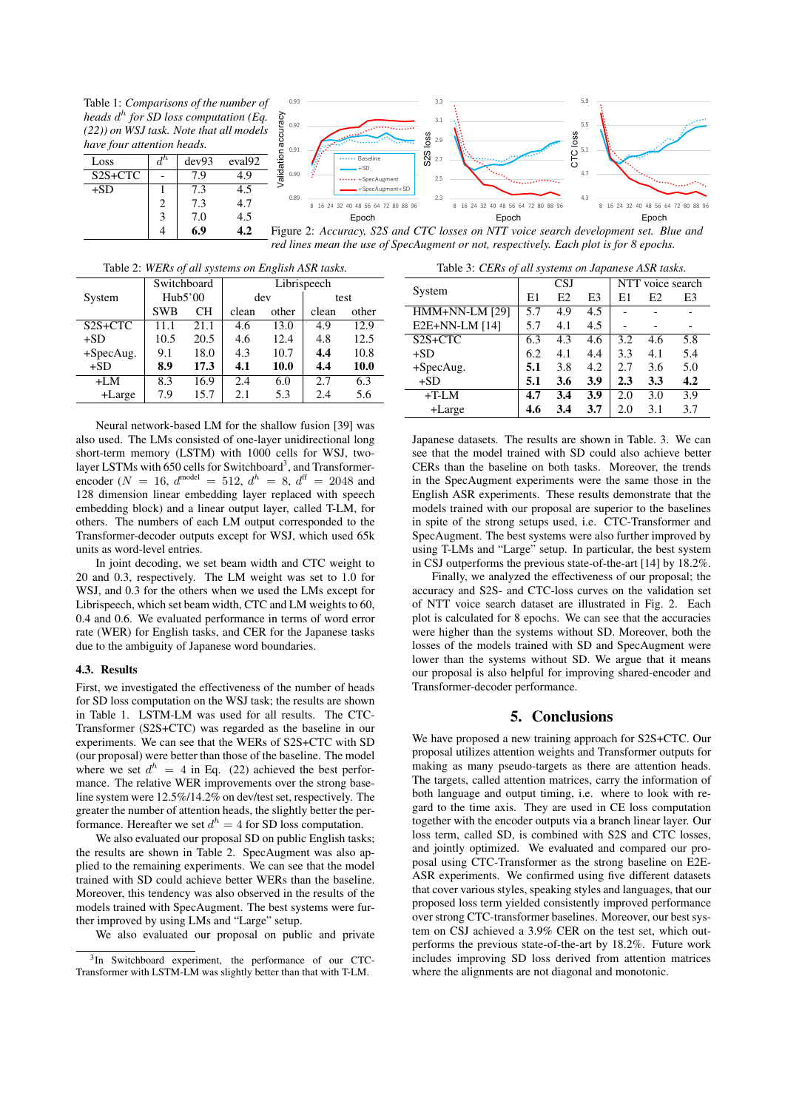Table 1: *Comparisons of the number of heads d h for SD loss computation (Eq. (22)) on WSJ task. Note that all models have four attention heads.*

| Loss      |   | dev93 | eval <sub>92</sub> |
|-----------|---|-------|--------------------|
| $S2S+CTC$ |   | 7.9   | 4.9                |
| $+SD$     |   | 7.3   | 4.5                |
|           | 2 | 7.3   | 4.7                |
|           | 3 | 7.0   | 4.5                |
|           |   | 6.9   |                    |



Figure 2: *Accuracy, S2S and CTC losses on NTT voice search development set. Blue and red lines mean the use of SpecAugment or not, respectively. Each plot is for 8 epochs.*

| Table 2. WERS Of all systems on English ASK tasks. |                             |      |             |       |       |       |  |
|----------------------------------------------------|-----------------------------|------|-------------|-------|-------|-------|--|
|                                                    | Switchboard                 |      | Librispeech |       |       |       |  |
| System                                             | Hub5'00<br><b>SWB</b><br>CН |      | dev         |       | test  |       |  |
|                                                    |                             |      | clean       | other | clean | other |  |
| $S2S+CTC$                                          | 11.1                        | 21.1 | 4.6         | 13.0  | 4.9   | 12.9  |  |
| $+SD$                                              | 10.5                        | 20.5 | 4.6         | 12.4  | 4.8   | 12.5  |  |
| $+SpecAug.$                                        | 9.1                         | 18.0 | 4.3         | 10.7  | 4.4   | 10.8  |  |
| $+SD$                                              | 8.9                         | 17.3 | 4.1         | 10.0  | 4.4   | 10.0  |  |
| $+LM$                                              | 8.3                         | 16.9 | 2.4         | 6.0   | 2.7   | 6.3   |  |
| +Large                                             | 7.9                         | 15.7 | 2.1         | 5.3   | 2.4   | 5.6   |  |

Table 2: *WERs of all systems on English ASR tasks.*

Table 3: *CERs of all systems on Japanese ASR tasks.*

| Neural network-based LM for the shallow fusion [39] was                                |
|----------------------------------------------------------------------------------------|
| also used. The LMs consisted of one-layer unidirectional long                          |
| short-term memory (LSTM) with 1000 cells for WSJ, two-                                 |
| layer LSTMs with 650 cells for Switchboard <sup>3</sup> , and Transformer-             |
| encoder ( $N = 16$ , $d^{\text{model}} = 512$ , $d^h = 8$ , $d^{\text{ff}} = 2048$ and |
| 128 dimension linear embedding layer replaced with speech                              |
| embedding block) and a linear output layer, called T-LM, for                           |
| others. The numbers of each LM output corresponded to the                              |
| Transformer-decoder outputs except for WSJ, which used 65k                             |
| units as word-level entries.                                                           |

In joint decoding, we set beam width and CTC weight to 20 and 0.3, respectively. The LM weight was set to 1.0 for WSJ, and 0.3 for the others when we used the LMs except for Librispeech, which set beam width, CTC and LM weights to 60, 0.4 and 0.6. We evaluated performance in terms of word error rate (WER) for English tasks, and CER for the Japanese tasks due to the ambiguity of Japanese word boundaries.

### 4.3. Results

First, we investigated the effectiveness of the number of heads for SD loss computation on the WSJ task; the results are shown in Table 1. LSTM-LM was used for all results. The CTC-Transformer (S2S+CTC) was regarded as the baseline in our experiments. We can see that the WERs of S2S+CTC with SD (our proposal) were better than those of the baseline. The model where we set  $d^h = 4$  in Eq. (22) achieved the best performance. The relative WER improvements over the strong baseline system were 12.5%/14.2% on dev/test set, respectively. The greater the number of attention heads, the slightly better the performance. Hereafter we set  $d^h = 4$  for SD loss computation.

We also evaluated our proposal SD on public English tasks; the results are shown in Table 2. SpecAugment was also applied to the remaining experiments. We can see that the model trained with SD could achieve better WERs than the baseline. Moreover, this tendency was also observed in the results of the models trained with SpecAugment. The best systems were further improved by using LMs and "Large" setup.

We also evaluated our proposal on public and private

| Table 5. CERS 0/ all systems on Japanese ASR tasks. |            |                |     |                  |                |     |  |
|-----------------------------------------------------|------------|----------------|-----|------------------|----------------|-----|--|
| System                                              | <b>CSJ</b> |                |     | NTT voice search |                |     |  |
|                                                     | E1         | E <sub>2</sub> | E3  | E1               | E <sub>2</sub> | E3  |  |
| <b>HMM+NN-LM [29]</b>                               | 5.7        | 4.9            | 4.5 |                  |                |     |  |
| E2E+NN-LM [14]                                      | 5.7        | 4.1            | 4.5 |                  |                |     |  |
| $S2S+CTC$                                           | 6.3        | 4.3            | 4.6 | 3.2              | 4.6            | 5.8 |  |
| $+SD$                                               | 6.2        | 4.1            | 4.4 | 3.3              | 4.1            | 5.4 |  |
| $+SpecAug.$                                         | 5.1        | 3.8            | 4.2 | 2.7              | 3.6            | 5.0 |  |
| $+SD$                                               | 5.1        | 3.6            | 3.9 | 2.3              | 3.3            | 4.2 |  |
| $+T$ -LM                                            | 4.7        | 3.4            | 3.9 | 2.0              | 3.0            | 3.9 |  |
| +Large                                              | 4.6        | 3.4            | 3.7 | 2.0              | 3.1            | 3.7 |  |

Japanese datasets. The results are shown in Table. 3. We can see that the model trained with SD could also achieve better CERs than the baseline on both tasks. Moreover, the trends in the SpecAugment experiments were the same those in the English ASR experiments. These results demonstrate that the models trained with our proposal are superior to the baselines in spite of the strong setups used, i.e. CTC-Transformer and SpecAugment. The best systems were also further improved by using T-LMs and "Large" setup. In particular, the best system in CSJ outperforms the previous state-of-the-art [14] by 18.2%.

Finally, we analyzed the effectiveness of our proposal; the accuracy and S2S- and CTC-loss curves on the validation set of NTT voice search dataset are illustrated in Fig. 2. Each plot is calculated for 8 epochs. We can see that the accuracies were higher than the systems without SD. Moreover, both the losses of the models trained with SD and SpecAugment were lower than the systems without SD. We argue that it means our proposal is also helpful for improving shared-encoder and Transformer-decoder performance.

# 5. Conclusions

We have proposed a new training approach for S2S+CTC. Our proposal utilizes attention weights and Transformer outputs for making as many pseudo-targets as there are attention heads. The targets, called attention matrices, carry the information of both language and output timing, i.e. where to look with regard to the time axis. They are used in CE loss computation together with the encoder outputs via a branch linear layer. Our loss term, called SD, is combined with S2S and CTC losses, and jointly optimized. We evaluated and compared our proposal using CTC-Transformer as the strong baseline on E2E-ASR experiments. We confirmed using five different datasets that cover various styles, speaking styles and languages, that our proposed loss term yielded consistently improved performance over strong CTC-transformer baselines. Moreover, our best system on CSJ achieved a 3.9% CER on the test set, which outperforms the previous state-of-the-art by 18.2%. Future work includes improving SD loss derived from attention matrices where the alignments are not diagonal and monotonic.

<sup>&</sup>lt;sup>3</sup>In Switchboard experiment, the performance of our CTC-Transformer with LSTM-LM was slightly better than that with T-LM.